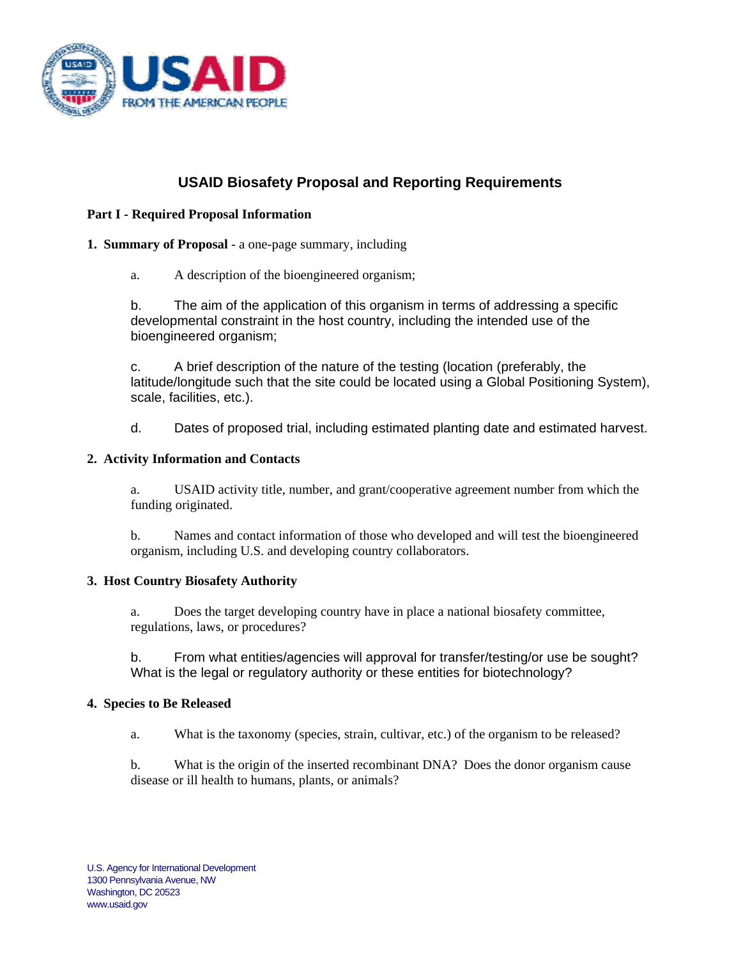

# **USAID Biosafety Proposal and Reporting Requirements**

# **Part I - Required Proposal Information**

## **1. Summary of Proposal** - a one-page summary, including

a. A description of the bioengineered organism;

b. The aim of the application of this organism in terms of addressing a specific developmental constraint in the host country, including the intended use of the bioengineered organism;

c. A brief description of the nature of the testing (location (preferably, the [latitude/](http://en.wikipedia.org/wiki/Latitude)[longitude](http://en.wikipedia.org/wiki/Longitude) such that the site could be located using a Global Positioning System), scale, facilities, etc.).

d. Dates of proposed trial, including estimated planting date and estimated harvest.

### **2. Activity Information and Contacts**

 a. USAID activity title, number, and grant/cooperative agreement number from which the funding originated.

 b. Names and contact information of those who developed and will test the bioengineered organism, including U.S. and developing country collaborators.

### **3. Host Country Biosafety Authority**

a. Does the target developing country have in place a national biosafety committee, regulations, laws, or procedures?

 b. From what entities/agencies will approval for transfer/testing/or use be sought? What is the legal or regulatory authority or these entities for biotechnology?

### **4. Species to Be Released**

a. What is the taxonomy (species, strain, cultivar, etc.) of the organism to be released?

 b. What is the origin of the inserted recombinant DNA? Does the donor organism cause disease or ill health to humans, plants, or animals?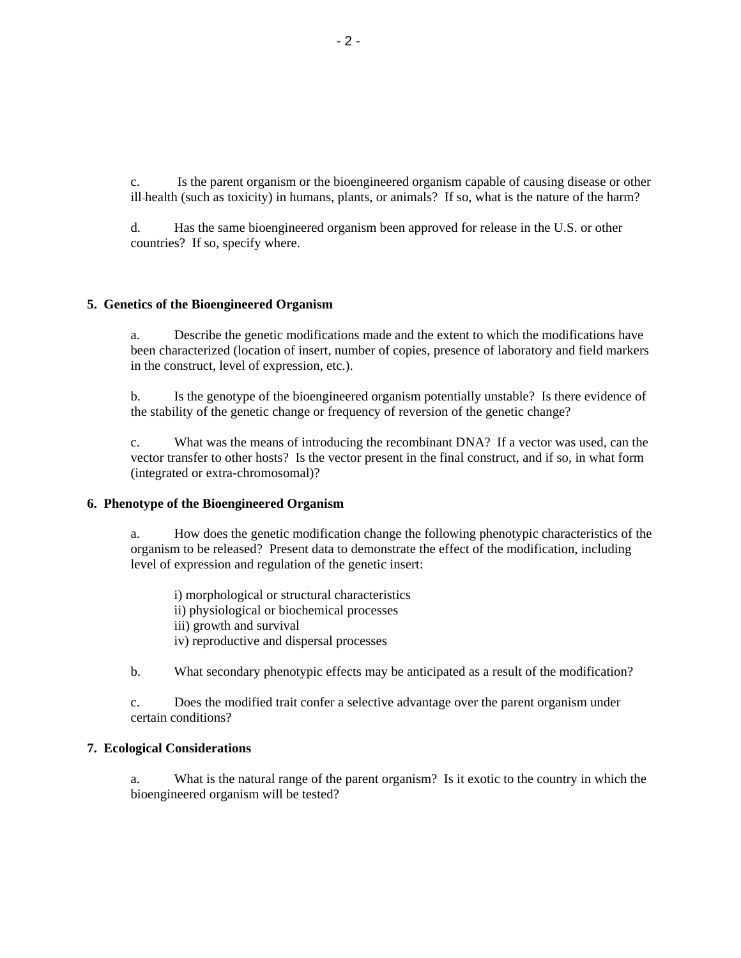c. Is the parent organism or the bioengineered organism capable of causing disease or other ill health (such as toxicity) in humans, plants, or animals? If so, what is the nature of the harm?

 d. Has the same bioengineered organism been approved for release in the U.S. or other countries? If so, specify where.

#### **5. Genetics of the Bioengineered Organism**

 a. Describe the genetic modifications made and the extent to which the modifications have been characterized (location of insert, number of copies, presence of laboratory and field markers in the construct, level of expression, etc.).

 b. Is the genotype of the bioengineered organism potentially unstable? Is there evidence of the stability of the genetic change or frequency of reversion of the genetic change?

 c. What was the means of introducing the recombinant DNA? If a vector was used, can the vector transfer to other hosts? Is the vector present in the final construct, and if so, in what form (integrated or extra-chromosomal)?

#### **6. Phenotype of the Bioengineered Organism**

 a. How does the genetic modification change the following phenotypic characteristics of the organism to be released? Present data to demonstrate the effect of the modification, including level of expression and regulation of the genetic insert:

 i) morphological or structural characteristics ii) physiological or biochemical processes iii) growth and survival iv) reproductive and dispersal processes

b. What secondary phenotypic effects may be anticipated as a result of the modification?

 c. Does the modified trait confer a selective advantage over the parent organism under certain conditions?

#### **7. Ecological Considerations**

 a. What is the natural range of the parent organism? Is it exotic to the country in which the bioengineered organism will be tested?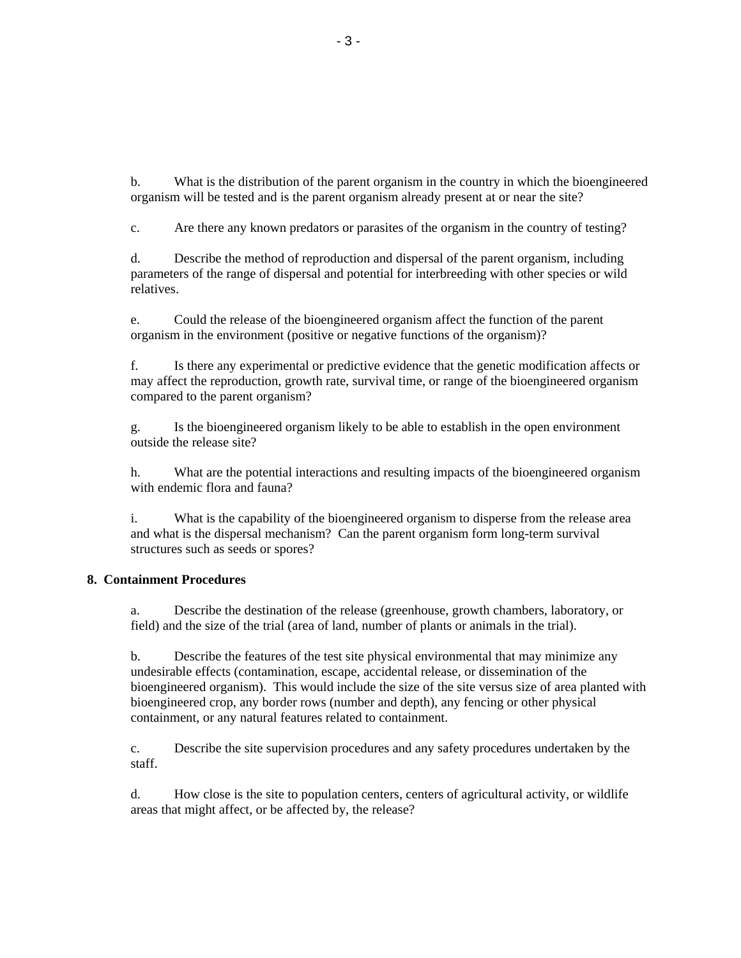b. What is the distribution of the parent organism in the country in which the bioengineered organism will be tested and is the parent organism already present at or near the site?

c. Are there any known predators or parasites of the organism in the country of testing?

 d. Describe the method of reproduction and dispersal of the parent organism, including parameters of the range of dispersal and potential for interbreeding with other species or wild relatives.

 e. Could the release of the bioengineered organism affect the function of the parent organism in the environment (positive or negative functions of the organism)?

 f. Is there any experimental or predictive evidence that the genetic modification affects or may affect the reproduction, growth rate, survival time, or range of the bioengineered organism compared to the parent organism?

 g. Is the bioengineered organism likely to be able to establish in the open environment outside the release site?

h. What are the potential interactions and resulting impacts of the bioengineered organism with endemic flora and fauna?

 i. What is the capability of the bioengineered organism to disperse from the release area and what is the dispersal mechanism? Can the parent organism form long-term survival structures such as seeds or spores?

### **8. Containment Procedures**

a. Describe the destination of the release (greenhouse, growth chambers, laboratory, or field) and the size of the trial (area of land, number of plants or animals in the trial).

 b. Describe the features of the test site physical environmental that may minimize any undesirable effects (contamination, escape, accidental release, or dissemination of the bioengineered organism). This would include the size of the site versus size of area planted with bioengineered crop, any border rows (number and depth), any fencing or other physical containment, or any natural features related to containment.

 c. Describe the site supervision procedures and any safety procedures undertaken by the staff.

 d. How close is the site to population centers, centers of agricultural activity, or wildlife areas that might affect, or be affected by, the release?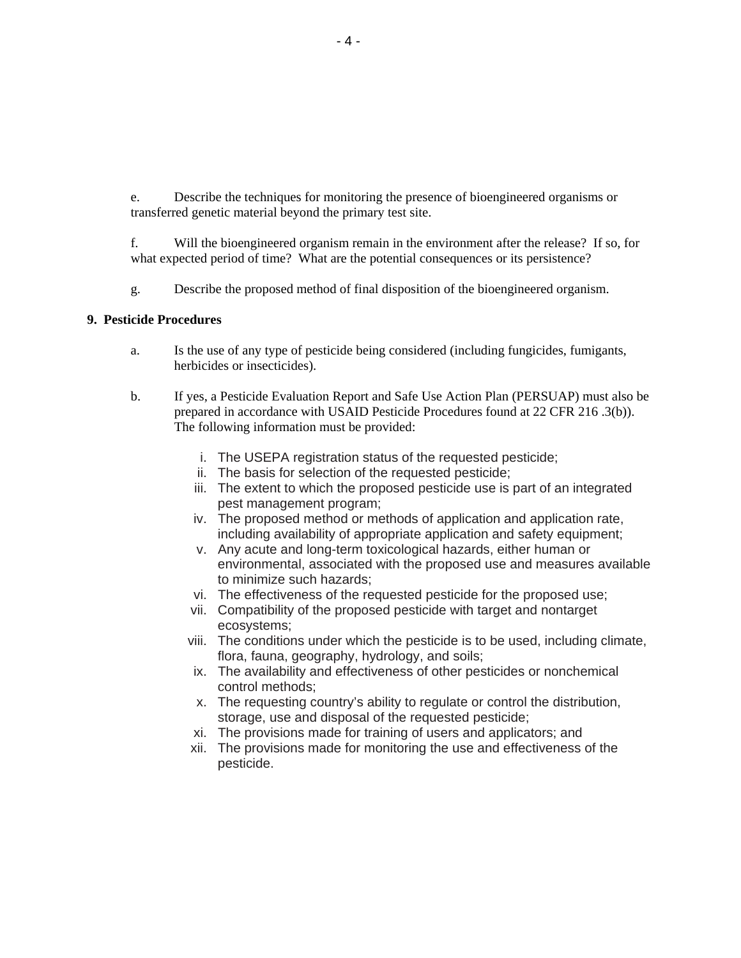e. Describe the techniques for monitoring the presence of bioengineered organisms or transferred genetic material beyond the primary test site.

 f. Will the bioengineered organism remain in the environment after the release? If so, for what expected period of time? What are the potential consequences or its persistence?

g. Describe the proposed method of final disposition of the bioengineered organism.

#### **9. Pesticide Procedures**

- a. Is the use of any type of pesticide being considered (including fungicides, fumigants, herbicides or insecticides).
- b. If yes, a Pesticide Evaluation Report and Safe Use Action Plan (PERSUAP) must also be prepared in accordance with USAID Pesticide Procedures found at 22 CFR 216 .3(b)). The following information must be provided:
	- i. The USEPA registration status of the requested pesticide;
	- ii. The basis for selection of the requested pesticide;
	- iii. The extent to which the proposed pesticide use is part of an integrated pest management program;
	- iv. The proposed method or methods of application and application rate, including availability of appropriate application and safety equipment;
	- v. Any acute and long-term toxicological hazards, either human or environmental, associated with the proposed use and measures available to minimize such hazards;
	- vi. The effectiveness of the requested pesticide for the proposed use;
	- vii. Compatibility of the proposed pesticide with target and nontarget ecosystems;
	- viii. The conditions under which the pesticide is to be used, including climate, flora, fauna, geography, hydrology, and soils;
	- ix. The availability and effectiveness of other pesticides or nonchemical control methods;
	- x. The requesting country's ability to regulate or control the distribution, storage, use and disposal of the requested pesticide;
	- xi. The provisions made for training of users and applicators; and
	- xii. The provisions made for monitoring the use and effectiveness of the pesticide.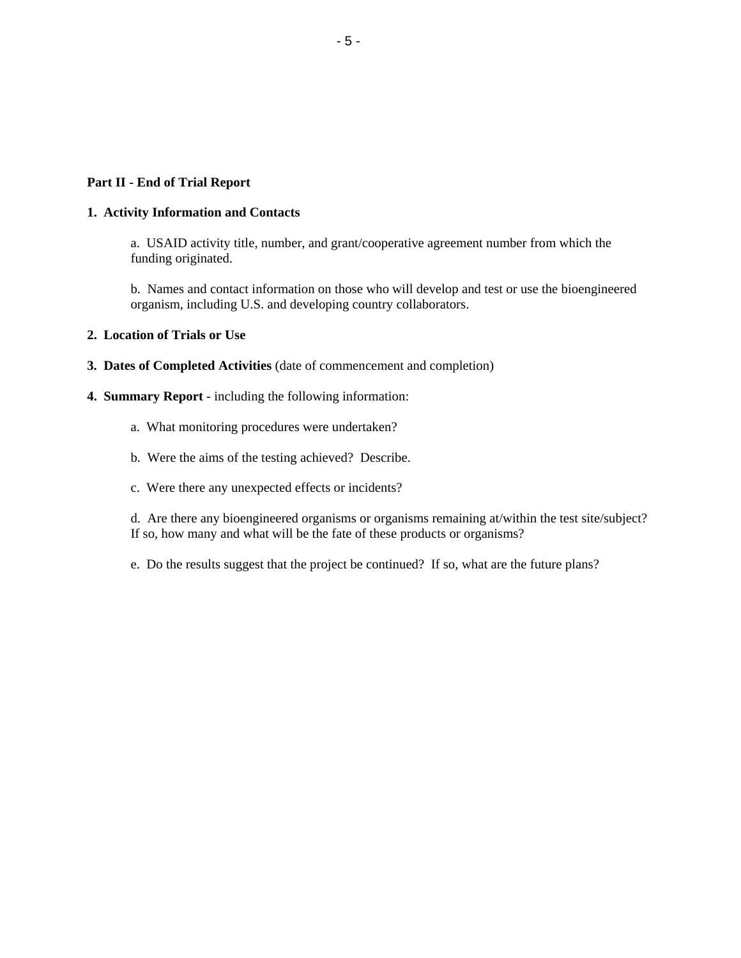### **Part II - End of Trial Report**

#### **1. Activity Information and Contacts**

 a. USAID activity title, number, and grant/cooperative agreement number from which the funding originated.

 b. Names and contact information on those who will develop and test or use the bioengineered organism, including U.S. and developing country collaborators.

### **2. Location of Trials or Use**

- **3. Dates of Completed Activities** (date of commencement and completion)
- **4. Summary Report** including the following information:
	- a. What monitoring procedures were undertaken?
	- b. Were the aims of the testing achieved? Describe.
	- c. Were there any unexpected effects or incidents?

 d. Are there any bioengineered organisms or organisms remaining at/within the test site/subject? If so, how many and what will be the fate of these products or organisms?

e. Do the results suggest that the project be continued? If so, what are the future plans?